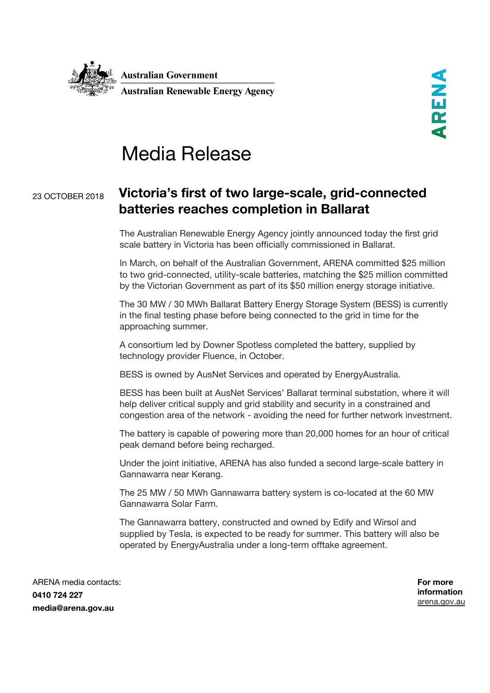

## Media Release

## <sup>23</sup> OCTOBER <sup>2018</sup> **Victoria's first of two large-scale, grid-connected batteries reaches completion in Ballarat**

The Australian Renewable Energy Agency jointly announced today the first grid scale battery in Victoria has been officially commissioned in Ballarat.

In March, on behalf of the Australian Government, ARENA committed \$25 million to two grid-connected, utility-scale batteries, matching the \$25 million committed by the Victorian Government as part of its \$50 million energy storage initiative.

The 30 MW / 30 MWh Ballarat Battery Energy Storage System (BESS) is currently in the final testing phase before being connected to the grid in time for the approaching summer.

A consortium led by Downer Spotless completed the battery, supplied by technology provider Fluence, in October.

BESS is owned by AusNet Services and operated by EnergyAustralia.

BESS has been built at AusNet Services' Ballarat terminal substation, where it will help deliver critical supply and grid stability and security in a constrained and congestion area of the network - avoiding the need for further network investment.

The battery is capable of powering more than 20,000 homes for an hour of critical peak demand before being recharged.

Under the joint initiative, ARENA has also funded a second large-scale battery in Gannawarra near Kerang.

The 25 MW / 50 MWh Gannawarra battery system is co-located at the 60 MW Gannawarra Solar Farm.

The Gannawarra battery, constructed and owned by Edify and Wirsol and supplied by Tesla, is expected to be ready for summer. This battery will also be operated by EnergyAustralia under a long-term offtake agreement.

ARENA media contacts: **0410 724 227 media@arena.gov.au**

**For more information** [arena.gov.au](http://www.arena.gov.au/)